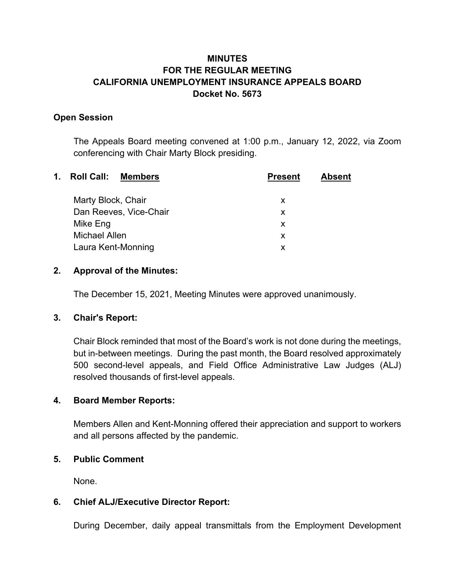# **MINUTES FOR THE REGULAR MEETING CALIFORNIA UNEMPLOYMENT INSURANCE APPEALS BOARD Docket No. 5673**

#### **Open Session**

The Appeals Board meeting convened at 1:00 p.m., January 12, 2022, via Zoom conferencing with Chair Marty Block presiding.

| $\mathbf 1$ . | <b>Roll Call:</b><br><b>Members</b> | <b>Present</b> | <b>Absent</b> |
|---------------|-------------------------------------|----------------|---------------|
|               | Marty Block, Chair                  | X              |               |
|               | Dan Reeves, Vice-Chair              | X              |               |
|               | Mike Eng                            | X              |               |
|               | Michael Allen                       | X              |               |
|               | Laura Kent-Monning                  | X              |               |
|               |                                     |                |               |

#### **2. Approval of the Minutes:**

The December 15, 2021, Meeting Minutes were approved unanimously.

## **3. Chair's Report:**

Chair Block reminded that most of the Board's work is not done during the meetings, but in-between meetings. During the past month, the Board resolved approximately 500 second-level appeals, and Field Office Administrative Law Judges (ALJ) resolved thousands of first-level appeals.

## **4. Board Member Reports:**

Members Allen and Kent-Monning offered their appreciation and support to workers and all persons affected by the pandemic.

#### **5. Public Comment**

None.

## **6. Chief ALJ/Executive Director Report:**

During December, daily appeal transmittals from the Employment Development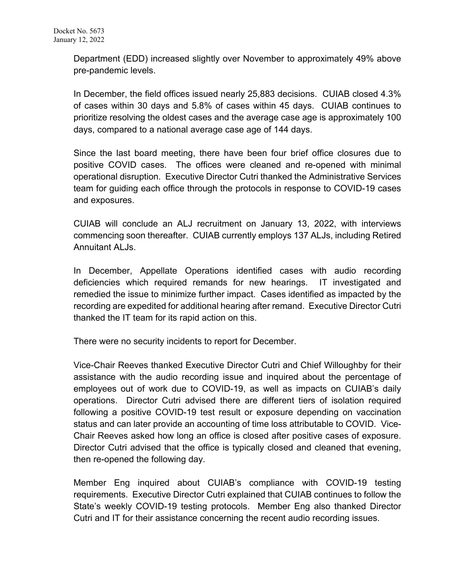Department (EDD) increased slightly over November to approximately 49% above pre-pandemic levels.

In December, the field offices issued nearly 25,883 decisions. CUIAB closed 4.3% of cases within 30 days and 5.8% of cases within 45 days. CUIAB continues to prioritize resolving the oldest cases and the average case age is approximately 100 days, compared to a national average case age of 144 days.

Since the last board meeting, there have been four brief office closures due to positive COVID cases. The offices were cleaned and re-opened with minimal operational disruption. Executive Director Cutri thanked the Administrative Services team for guiding each office through the protocols in response to COVID-19 cases and exposures.

CUIAB will conclude an ALJ recruitment on January 13, 2022, with interviews commencing soon thereafter. CUIAB currently employs 137 ALJs, including Retired Annuitant ALJs.

In December, Appellate Operations identified cases with audio recording deficiencies which required remands for new hearings. IT investigated and remedied the issue to minimize further impact. Cases identified as impacted by the recording are expedited for additional hearing after remand. Executive Director Cutri thanked the IT team for its rapid action on this.

There were no security incidents to report for December.

Vice-Chair Reeves thanked Executive Director Cutri and Chief Willoughby for their assistance with the audio recording issue and inquired about the percentage of employees out of work due to COVID-19, as well as impacts on CUIAB's daily operations. Director Cutri advised there are different tiers of isolation required following a positive COVID-19 test result or exposure depending on vaccination status and can later provide an accounting of time loss attributable to COVID. Vice-Chair Reeves asked how long an office is closed after positive cases of exposure. Director Cutri advised that the office is typically closed and cleaned that evening, then re-opened the following day.

Member Eng inquired about CUIAB's compliance with COVID-19 testing requirements. Executive Director Cutri explained that CUIAB continues to follow the State's weekly COVID-19 testing protocols. Member Eng also thanked Director Cutri and IT for their assistance concerning the recent audio recording issues.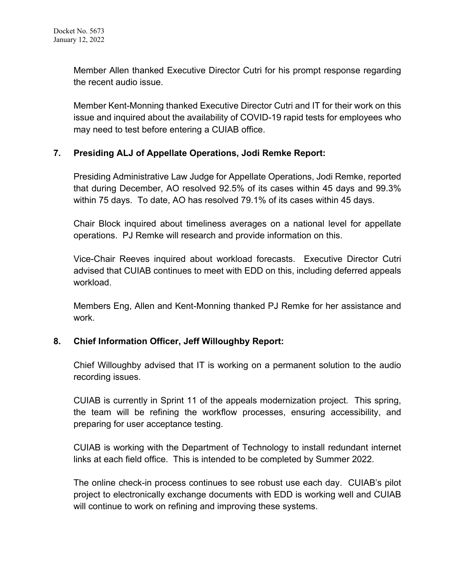Member Allen thanked Executive Director Cutri for his prompt response regarding the recent audio issue.

Member Kent-Monning thanked Executive Director Cutri and IT for their work on this issue and inquired about the availability of COVID-19 rapid tests for employees who may need to test before entering a CUIAB office.

## **7. Presiding ALJ of Appellate Operations, Jodi Remke Report:**

Presiding Administrative Law Judge for Appellate Operations, Jodi Remke, reported that during December, AO resolved 92.5% of its cases within 45 days and 99.3% within 75 days. To date, AO has resolved 79.1% of its cases within 45 days.

Chair Block inquired about timeliness averages on a national level for appellate operations. PJ Remke will research and provide information on this.

Vice-Chair Reeves inquired about workload forecasts. Executive Director Cutri advised that CUIAB continues to meet with EDD on this, including deferred appeals workload.

Members Eng, Allen and Kent-Monning thanked PJ Remke for her assistance and work.

#### **8. Chief Information Officer, Jeff Willoughby Report:**

Chief Willoughby advised that IT is working on a permanent solution to the audio recording issues.

CUIAB is currently in Sprint 11 of the appeals modernization project. This spring, the team will be refining the workflow processes, ensuring accessibility, and preparing for user acceptance testing.

CUIAB is working with the Department of Technology to install redundant internet links at each field office. This is intended to be completed by Summer 2022.

The online check-in process continues to see robust use each day. CUIAB's pilot project to electronically exchange documents with EDD is working well and CUIAB will continue to work on refining and improving these systems.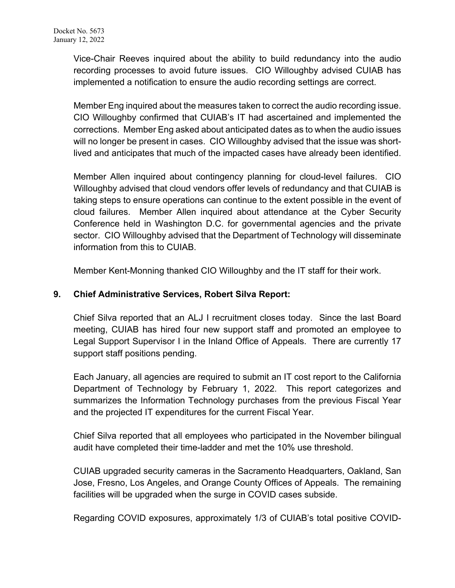Vice-Chair Reeves inquired about the ability to build redundancy into the audio recording processes to avoid future issues. CIO Willoughby advised CUIAB has implemented a notification to ensure the audio recording settings are correct.

Member Eng inquired about the measures taken to correct the audio recording issue. CIO Willoughby confirmed that CUIAB's IT had ascertained and implemented the corrections. Member Eng asked about anticipated dates as to when the audio issues will no longer be present in cases. CIO Willoughby advised that the issue was shortlived and anticipates that much of the impacted cases have already been identified.

Member Allen inquired about contingency planning for cloud-level failures. CIO Willoughby advised that cloud vendors offer levels of redundancy and that CUIAB is taking steps to ensure operations can continue to the extent possible in the event of cloud failures. Member Allen inquired about attendance at the Cyber Security Conference held in Washington D.C. for governmental agencies and the private sector. CIO Willoughby advised that the Department of Technology will disseminate information from this to CUIAB.

Member Kent-Monning thanked CIO Willoughby and the IT staff for their work.

#### **9. Chief Administrative Services, Robert Silva Report:**

Chief Silva reported that an ALJ I recruitment closes today. Since the last Board meeting, CUIAB has hired four new support staff and promoted an employee to Legal Support Supervisor I in the Inland Office of Appeals. There are currently 17 support staff positions pending.

Each January, all agencies are required to submit an IT cost report to the California Department of Technology by February 1, 2022. This report categorizes and summarizes the Information Technology purchases from the previous Fiscal Year and the projected IT expenditures for the current Fiscal Year.

Chief Silva reported that all employees who participated in the November bilingual audit have completed their time-ladder and met the 10% use threshold.

CUIAB upgraded security cameras in the Sacramento Headquarters, Oakland, San Jose, Fresno, Los Angeles, and Orange County Offices of Appeals. The remaining facilities will be upgraded when the surge in COVID cases subside.

Regarding COVID exposures, approximately 1/3 of CUIAB's total positive COVID-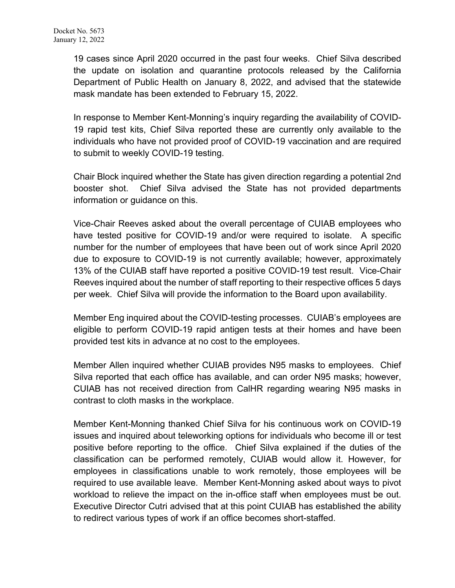19 cases since April 2020 occurred in the past four weeks. Chief Silva described the update on isolation and quarantine protocols released by the California Department of Public Health on January 8, 2022, and advised that the statewide mask mandate has been extended to February 15, 2022.

In response to Member Kent-Monning's inquiry regarding the availability of COVID-19 rapid test kits, Chief Silva reported these are currently only available to the individuals who have not provided proof of COVID-19 vaccination and are required to submit to weekly COVID-19 testing.

Chair Block inquired whether the State has given direction regarding a potential 2nd booster shot. Chief Silva advised the State has not provided departments information or guidance on this.

Vice-Chair Reeves asked about the overall percentage of CUIAB employees who have tested positive for COVID-19 and/or were required to isolate. A specific number for the number of employees that have been out of work since April 2020 due to exposure to COVID-19 is not currently available; however, approximately 13% of the CUIAB staff have reported a positive COVID-19 test result. Vice-Chair Reeves inquired about the number of staff reporting to their respective offices 5 days per week. Chief Silva will provide the information to the Board upon availability.

Member Eng inquired about the COVID-testing processes. CUIAB's employees are eligible to perform COVID-19 rapid antigen tests at their homes and have been provided test kits in advance at no cost to the employees.

Member Allen inquired whether CUIAB provides N95 masks to employees. Chief Silva reported that each office has available, and can order N95 masks; however, CUIAB has not received direction from CalHR regarding wearing N95 masks in contrast to cloth masks in the workplace.

Member Kent-Monning thanked Chief Silva for his continuous work on COVID-19 issues and inquired about teleworking options for individuals who become ill or test positive before reporting to the office. Chief Silva explained if the duties of the classification can be performed remotely, CUIAB would allow it. However, for employees in classifications unable to work remotely, those employees will be required to use available leave. Member Kent-Monning asked about ways to pivot workload to relieve the impact on the in-office staff when employees must be out. Executive Director Cutri advised that at this point CUIAB has established the ability to redirect various types of work if an office becomes short-staffed.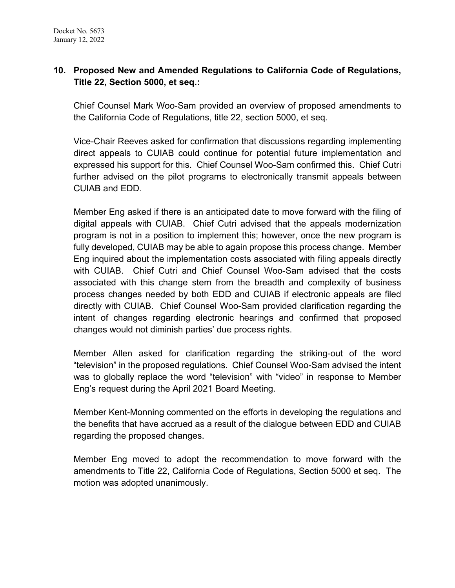# **10. Proposed New and Amended Regulations to California Code of Regulations, Title 22, Section 5000, et seq.:**

Chief Counsel Mark Woo-Sam provided an overview of proposed amendments to the California Code of Regulations, title 22, section 5000, et seq.

Vice-Chair Reeves asked for confirmation that discussions regarding implementing direct appeals to CUIAB could continue for potential future implementation and expressed his support for this. Chief Counsel Woo-Sam confirmed this. Chief Cutri further advised on the pilot programs to electronically transmit appeals between CUIAB and EDD.

Member Eng asked if there is an anticipated date to move forward with the filing of digital appeals with CUIAB. Chief Cutri advised that the appeals modernization program is not in a position to implement this; however, once the new program is fully developed, CUIAB may be able to again propose this process change. Member Eng inquired about the implementation costs associated with filing appeals directly with CUIAB. Chief Cutri and Chief Counsel Woo-Sam advised that the costs associated with this change stem from the breadth and complexity of business process changes needed by both EDD and CUIAB if electronic appeals are filed directly with CUIAB. Chief Counsel Woo-Sam provided clarification regarding the intent of changes regarding electronic hearings and confirmed that proposed changes would not diminish parties' due process rights.

Member Allen asked for clarification regarding the striking-out of the word "television" in the proposed regulations. Chief Counsel Woo-Sam advised the intent was to globally replace the word "television" with "video" in response to Member Eng's request during the April 2021 Board Meeting.

Member Kent-Monning commented on the efforts in developing the regulations and the benefits that have accrued as a result of the dialogue between EDD and CUIAB regarding the proposed changes.

Member Eng moved to adopt the recommendation to move forward with the amendments to Title 22, California Code of Regulations, Section 5000 et seq. The motion was adopted unanimously.